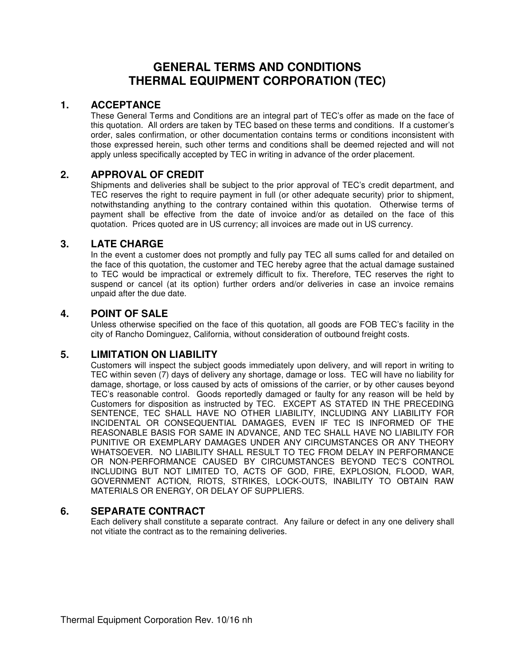# **GENERAL TERMS AND CONDITIONS THERMAL EQUIPMENT CORPORATION (TEC)**

### **1. ACCEPTANCE**

These General Terms and Conditions are an integral part of TEC's offer as made on the face of this quotation. All orders are taken by TEC based on these terms and conditions. If a customer's order, sales confirmation, or other documentation contains terms or conditions inconsistent with those expressed herein, such other terms and conditions shall be deemed rejected and will not apply unless specifically accepted by TEC in writing in advance of the order placement.

## **2. APPROVAL OF CREDIT**

Shipments and deliveries shall be subject to the prior approval of TEC's credit department, and TEC reserves the right to require payment in full (or other adequate security) prior to shipment, notwithstanding anything to the contrary contained within this quotation. Otherwise terms of payment shall be effective from the date of invoice and/or as detailed on the face of this quotation. Prices quoted are in US currency; all invoices are made out in US currency.

#### **3. LATE CHARGE**

In the event a customer does not promptly and fully pay TEC all sums called for and detailed on the face of this quotation, the customer and TEC hereby agree that the actual damage sustained to TEC would be impractical or extremely difficult to fix. Therefore, TEC reserves the right to suspend or cancel (at its option) further orders and/or deliveries in case an invoice remains unpaid after the due date.

## **4. POINT OF SALE**

Unless otherwise specified on the face of this quotation, all goods are FOB TEC's facility in the city of Rancho Dominguez, California, without consideration of outbound freight costs.

## **5. LIMITATION ON LIABILITY**

Customers will inspect the subject goods immediately upon delivery, and will report in writing to TEC within seven (7) days of delivery any shortage, damage or loss. TEC will have no liability for damage, shortage, or loss caused by acts of omissions of the carrier, or by other causes beyond TEC's reasonable control. Goods reportedly damaged or faulty for any reason will be held by Customers for disposition as instructed by TEC. EXCEPT AS STATED IN THE PRECEDING SENTENCE, TEC SHALL HAVE NO OTHER LIABILITY, INCLUDING ANY LIABILITY FOR INCIDENTAL OR CONSEQUENTIAL DAMAGES, EVEN IF TEC IS INFORMED OF THE REASONABLE BASIS FOR SAME IN ADVANCE, AND TEC SHALL HAVE NO LIABILITY FOR PUNITIVE OR EXEMPLARY DAMAGES UNDER ANY CIRCUMSTANCES OR ANY THEORY WHATSOEVER. NO LIABILITY SHALL RESULT TO TEC FROM DELAY IN PERFORMANCE OR NON-PERFORMANCE CAUSED BY CIRCUMSTANCES BEYOND TEC'S CONTROL INCLUDING BUT NOT LIMITED TO, ACTS OF GOD, FIRE, EXPLOSION, FLOOD, WAR, GOVERNMENT ACTION, RIOTS, STRIKES, LOCK-OUTS, INABILITY TO OBTAIN RAW MATERIALS OR ENERGY, OR DELAY OF SUPPLIERS.

#### **6. SEPARATE CONTRACT**

Each delivery shall constitute a separate contract. Any failure or defect in any one delivery shall not vitiate the contract as to the remaining deliveries.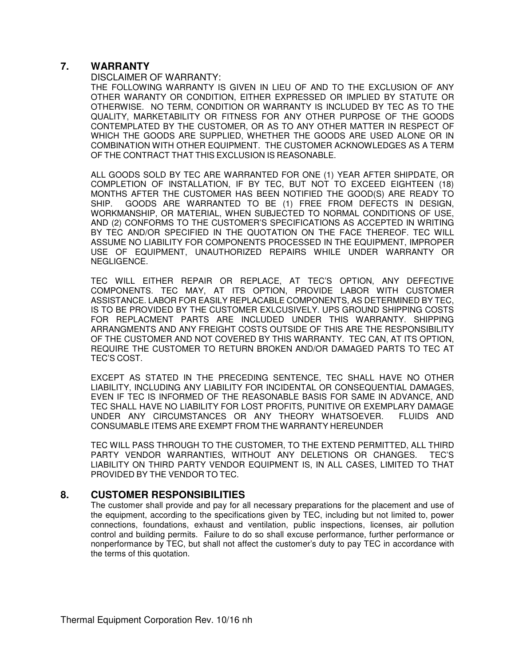## **7. WARRANTY**

#### DISCLAIMER OF WARRANTY:

THE FOLLOWING WARRANTY IS GIVEN IN LIEU OF AND TO THE EXCLUSION OF ANY OTHER WARANTY OR CONDITION, EITHER EXPRESSED OR IMPLIED BY STATUTE OR OTHERWISE. NO TERM, CONDITION OR WARRANTY IS INCLUDED BY TEC AS TO THE QUALITY, MARKETABILITY OR FITNESS FOR ANY OTHER PURPOSE OF THE GOODS CONTEMPLATED BY THE CUSTOMER, OR AS TO ANY OTHER MATTER IN RESPECT OF WHICH THE GOODS ARE SUPPLIED, WHETHER THE GOODS ARE USED ALONE OR IN COMBINATION WITH OTHER EQUIPMENT. THE CUSTOMER ACKNOWLEDGES AS A TERM OF THE CONTRACT THAT THIS EXCLUSION IS REASONABLE.

ALL GOODS SOLD BY TEC ARE WARRANTED FOR ONE (1) YEAR AFTER SHIPDATE, OR COMPLETION OF INSTALLATION, IF BY TEC, BUT NOT TO EXCEED EIGHTEEN (18) MONTHS AFTER THE CUSTOMER HAS BEEN NOTIFIED THE GOOD(S) ARE READY TO SHIP. GOODS ARE WARRANTED TO BE (1) FREE FROM DEFECTS IN DESIGN, WORKMANSHIP, OR MATERIAL, WHEN SUBJECTED TO NORMAL CONDITIONS OF USE, AND (2) CONFORMS TO THE CUSTOMER'S SPECIFICATIONS AS ACCEPTED IN WRITING BY TEC AND/OR SPECIFIED IN THE QUOTATION ON THE FACE THEREOF. TEC WILL ASSUME NO LIABILITY FOR COMPONENTS PROCESSED IN THE EQUIPMENT, IMPROPER USE OF EQUIPMENT, UNAUTHORIZED REPAIRS WHILE UNDER WARRANTY OR NEGLIGENCE.

TEC WILL EITHER REPAIR OR REPLACE, AT TEC'S OPTION, ANY DEFECTIVE COMPONENTS. TEC MAY, AT ITS OPTION, PROVIDE LABOR WITH CUSTOMER ASSISTANCE. LABOR FOR EASILY REPLACABLE COMPONENTS, AS DETERMINED BY TEC, IS TO BE PROVIDED BY THE CUSTOMER EXLCUSIVELY. UPS GROUND SHIPPING COSTS FOR REPLACMENT PARTS ARE INCLUDED UNDER THIS WARRANTY. SHIPPING ARRANGMENTS AND ANY FREIGHT COSTS OUTSIDE OF THIS ARE THE RESPONSIBILITY OF THE CUSTOMER AND NOT COVERED BY THIS WARRANTY. TEC CAN, AT ITS OPTION, REQUIRE THE CUSTOMER TO RETURN BROKEN AND/OR DAMAGED PARTS TO TEC AT TEC'S COST.

EXCEPT AS STATED IN THE PRECEDING SENTENCE, TEC SHALL HAVE NO OTHER LIABILITY, INCLUDING ANY LIABILITY FOR INCIDENTAL OR CONSEQUENTIAL DAMAGES, EVEN IF TEC IS INFORMED OF THE REASONABLE BASIS FOR SAME IN ADVANCE, AND TEC SHALL HAVE NO LIABILITY FOR LOST PROFITS, PUNITIVE OR EXEMPLARY DAMAGE<br>UNDER ANY CIRCUMSTANCES OR ANY THEORY WHATSOEVER. FLUIDS AND UNDER ANY CIRCUMSTANCES OR ANY THEORY WHATSOEVER. CONSUMABLE ITEMS ARE EXEMPT FROM THE WARRANTY HEREUNDER

TEC WILL PASS THROUGH TO THE CUSTOMER, TO THE EXTEND PERMITTED, ALL THIRD PARTY VENDOR WARRANTIES, WITHOUT ANY DELETIONS OR CHANGES. TEC'S LIABILITY ON THIRD PARTY VENDOR EQUIPMENT IS, IN ALL CASES, LIMITED TO THAT PROVIDED BY THE VENDOR TO TEC.

## **8. CUSTOMER RESPONSIBILITIES**

The customer shall provide and pay for all necessary preparations for the placement and use of the equipment, according to the specifications given by TEC, including but not limited to, power connections, foundations, exhaust and ventilation, public inspections, licenses, air pollution control and building permits. Failure to do so shall excuse performance, further performance or nonperformance by TEC, but shall not affect the customer's duty to pay TEC in accordance with the terms of this quotation.